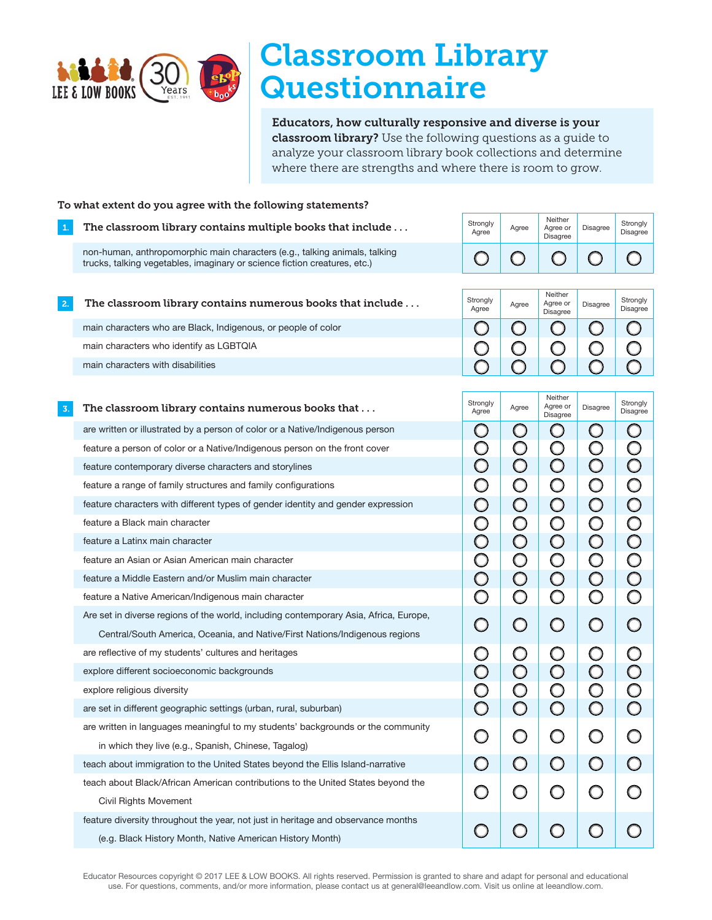

## Classroom Library **Questionnaire**

Educators, how culturally responsive and diverse is your classroom library? Use the following questions as a guide to analyze your classroom library book collections and determine where there are strengths and where there is room to grow.

| To what extent do you agree with the following statements? |                                                                                                                                                         |                                       |                          |                                        |                          |                                                    |  |  |
|------------------------------------------------------------|---------------------------------------------------------------------------------------------------------------------------------------------------------|---------------------------------------|--------------------------|----------------------------------------|--------------------------|----------------------------------------------------|--|--|
| 1.                                                         | The classroom library contains multiple books that include                                                                                              | Strongly<br>Agree                     | Agree                    | Neither<br>Agree or<br><b>Disagree</b> | <b>Disagree</b>          | Strongly<br><b>Disagree</b>                        |  |  |
|                                                            | non-human, anthropomorphic main characters (e.g., talking animals, talking<br>trucks, talking vegetables, imaginary or science fiction creatures, etc.) | $\bigcirc$                            | Ω                        |                                        |                          |                                                    |  |  |
| 2.                                                         | The classroom library contains numerous books that include                                                                                              | Strongly<br>Agree                     | Agree                    | Neither<br>Agree or<br>Disagree        | Disagree                 | Strongly<br>Disagree                               |  |  |
|                                                            | main characters who are Black, Indigenous, or people of color                                                                                           | O                                     | Ω                        | $\Box$                                 | Ο                        | Ω                                                  |  |  |
|                                                            | main characters who identify as LGBTQIA                                                                                                                 |                                       | $\cup$                   |                                        |                          |                                                    |  |  |
|                                                            | main characters with disabilities                                                                                                                       | ∩                                     | ∩                        | $\Box$                                 | Ω                        |                                                    |  |  |
| $\overline{3}$ .                                           | The classroom library contains numerous books that                                                                                                      | Strongly                              | Agree                    | Neither<br>Agree or                    | Disagree                 | Strongly                                           |  |  |
|                                                            |                                                                                                                                                         | Agree                                 |                          | <b>Disagree</b>                        |                          | Disagree                                           |  |  |
|                                                            | are written or illustrated by a person of color or a Native/Indigenous person                                                                           | O                                     | Ő                        | O                                      | $\cup$                   | $\bigcirc$                                         |  |  |
|                                                            | feature a person of color or a Native/Indigenous person on the front cover                                                                              | $\bigcirc$<br>$\overline{\mathsf{O}}$ | $\bigcirc$<br>$\bigcirc$ | $\bigcirc$<br>$\bigcirc$               | $\bigcirc$<br>$\bigcirc$ | $\overline{\mathsf{O}}$<br>$\overline{\mathsf{O}}$ |  |  |
|                                                            | feature contemporary diverse characters and storylines<br>feature a range of family structures and family configurations                                | $\bigcirc$                            |                          |                                        |                          |                                                    |  |  |
|                                                            |                                                                                                                                                         |                                       | $\circ$                  | $\bigcirc$                             | $\bigcirc$               | $\bigcirc$                                         |  |  |
|                                                            | feature characters with different types of gender identity and gender expression<br>feature a Black main character                                      | $\bigcirc$                            | $\bigcirc$               | $\bigcirc$                             | $\bigcirc$               | $\bigcirc$                                         |  |  |
|                                                            | feature a Latinx main character                                                                                                                         | $\bigcirc$                            | $\bigcirc$               | $\bigcirc$                             | $\bigcirc$               | $\overline{\mathsf{O}}$<br>$\bigcirc$              |  |  |
|                                                            | feature an Asian or Asian American main character                                                                                                       | $\bigcirc$<br>$\bigcirc$              | $\bigcirc$               | $\bigcirc$                             | $\bigcirc$               | $\overline{\mathsf{O}}$                            |  |  |
|                                                            | feature a Middle Eastern and/or Muslim main character                                                                                                   |                                       | $\bigcirc$               | $\bigcirc$                             | $\bigcirc$               | $\overline{\mathsf{O}}$                            |  |  |
|                                                            | feature a Native American/Indigenous main character                                                                                                     | $\bigcirc$<br>Ô                       | $\bigcirc$<br>$\bigcirc$ | $\bigcirc$<br>$\bigcirc$               | $\bigcirc$<br>$\bigcirc$ | $\bigcirc$                                         |  |  |
|                                                            | Are set in diverse regions of the world, including contemporary Asia, Africa, Europe,                                                                   |                                       |                          |                                        |                          |                                                    |  |  |
|                                                            | Central/South America, Oceania, and Native/First Nations/Indigenous regions                                                                             | $\bigcirc$                            | $\bigcirc$               | $\bigcirc$                             | $\bigcirc$               | $\bigcirc$                                         |  |  |
|                                                            | are reflective of my students' cultures and heritages                                                                                                   | $\bigcirc$                            | $\bigcirc$               | $\cup$                                 | Ő                        |                                                    |  |  |
|                                                            | explore different socioeconomic backgrounds                                                                                                             | $\bigcirc$                            | $\bigcirc$               | $\bigcirc$                             | $\bigcirc$               | $\bigcirc$                                         |  |  |
|                                                            | explore religious diversity                                                                                                                             | O                                     | $\bigcirc$               | O                                      | C                        |                                                    |  |  |
|                                                            | are set in different geographic settings (urban, rural, suburban)                                                                                       | $\overline{\mathsf{O}}$               | $\bigcirc$               | O                                      | $\bigcirc$               | $\overline{\mathsf{O}}$                            |  |  |
|                                                            | are written in languages meaningful to my students' backgrounds or the community                                                                        |                                       |                          |                                        |                          |                                                    |  |  |
|                                                            | in which they live (e.g., Spanish, Chinese, Tagalog)                                                                                                    |                                       |                          |                                        |                          |                                                    |  |  |
|                                                            | teach about immigration to the United States beyond the Ellis Island-narrative                                                                          | $\Box$                                | $\bigcirc$               | $\bigcirc$                             | $\bigcirc$               |                                                    |  |  |
|                                                            | teach about Black/African American contributions to the United States beyond the                                                                        |                                       |                          |                                        |                          |                                                    |  |  |
|                                                            | <b>Civil Rights Movement</b>                                                                                                                            | O                                     | O                        | O                                      | O                        |                                                    |  |  |
|                                                            | feature diversity throughout the year, not just in heritage and observance months<br>(e.g. Black History Month, Native American History Month)          |                                       |                          |                                        |                          |                                                    |  |  |
|                                                            |                                                                                                                                                         |                                       |                          |                                        |                          |                                                    |  |  |

Educator Resources copyright © 2017 LEE & LOW BOOKS. All rights reserved. Permission is granted to share and adapt for personal and educational use. For questions, comments, and/or more information, please contact us at general@leeandlow.com. Visit us online at leeandlow.com.